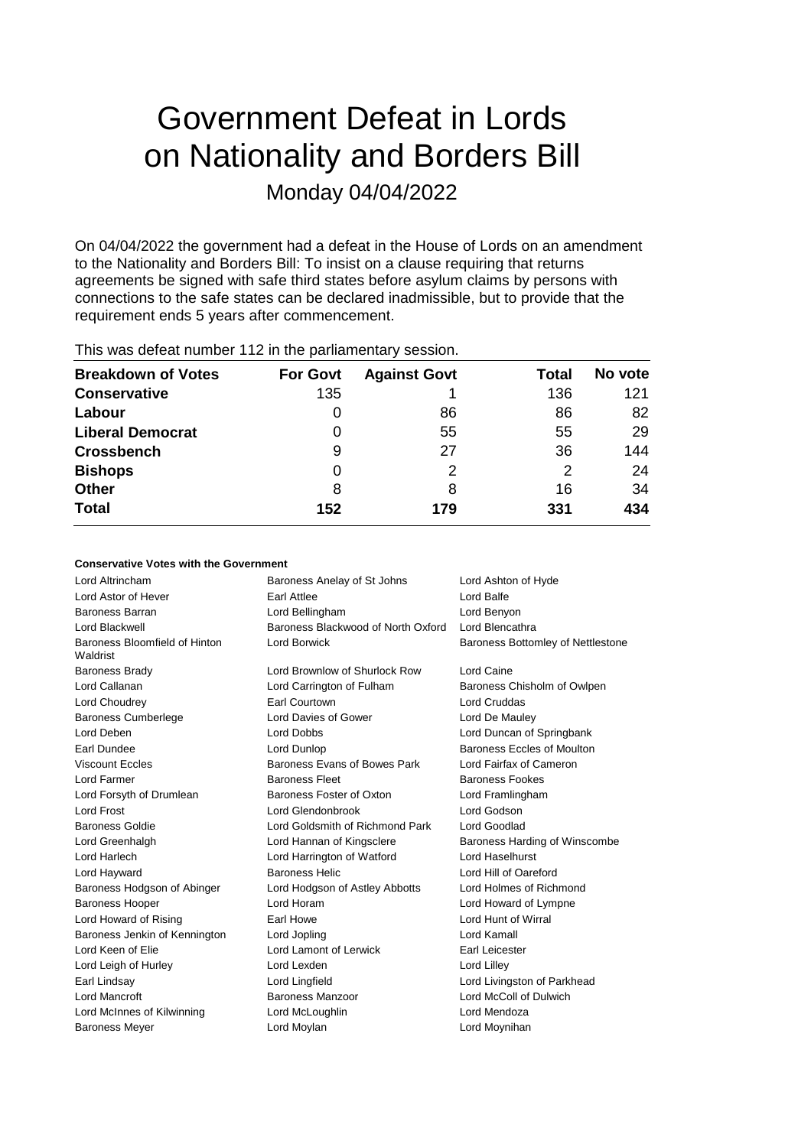# Government Defeat in Lords on Nationality and Borders Bill Monday 04/04/2022

On 04/04/2022 the government had a defeat in the House of Lords on an amendment to the Nationality and Borders Bill: To insist on a clause requiring that returns agreements be signed with safe third states before asylum claims by persons with connections to the safe states can be declared inadmissible, but to provide that the requirement ends 5 years after commencement.

| <b>Breakdown of Votes</b> | <b>For Govt</b> | <b>Against Govt</b> | Total | No vote |
|---------------------------|-----------------|---------------------|-------|---------|
| <b>Conservative</b>       | 135             |                     | 136   | 121     |
| Labour                    | 0               | 86                  | 86    | 82      |
| <b>Liberal Democrat</b>   | 0               | 55                  | 55    | 29      |
| <b>Crossbench</b>         | 9               | 27                  | 36    | 144     |
| <b>Bishops</b>            | 0               | 2                   | 2     | 24      |
| Other                     | 8               | 8                   | 16    | 34      |
| <b>Total</b>              | 152             | 179                 | 331   | 434     |
|                           |                 |                     |       |         |

This was defeat number 112 in the parliamentary session.

### **Conservative Votes with the Government**

| Lord Altrincham                           | Baroness Anelay of St Johns        | Lord Ashton of Hyde               |
|-------------------------------------------|------------------------------------|-----------------------------------|
| Lord Astor of Hever                       | <b>Farl Attlee</b>                 | Lord Balfe                        |
| Baroness Barran                           | Lord Bellingham                    | Lord Benyon                       |
| Lord Blackwell                            | Baroness Blackwood of North Oxford | Lord Blencathra                   |
| Baroness Bloomfield of Hinton<br>Waldrist | <b>Lord Borwick</b>                | Baroness Bottomley of Nettlestone |
| <b>Baroness Brady</b>                     | Lord Brownlow of Shurlock Row      | Lord Caine                        |
| Lord Callanan                             | Lord Carrington of Fulham          | Baroness Chisholm of Owlpen       |
| Lord Choudrey                             | <b>Earl Courtown</b>               | <b>Lord Cruddas</b>               |
| <b>Baroness Cumberlege</b>                | Lord Davies of Gower               | Lord De Mauley                    |
| Lord Deben                                | Lord Dobbs                         | Lord Duncan of Springbank         |
| Earl Dundee                               | Lord Dunlop                        | Baroness Eccles of Moulton        |
| <b>Viscount Eccles</b>                    | Baroness Evans of Bowes Park       | Lord Fairfax of Cameron           |
| Lord Farmer                               | <b>Baroness Fleet</b>              | <b>Baroness Fookes</b>            |
| Lord Forsyth of Drumlean                  | Baroness Foster of Oxton           | Lord Framlingham                  |
| <b>Lord Frost</b>                         | Lord Glendonbrook                  | Lord Godson                       |
| <b>Baroness Goldie</b>                    | Lord Goldsmith of Richmond Park    | Lord Goodlad                      |
| Lord Greenhalgh                           | Lord Hannan of Kingsclere          | Baroness Harding of Winscombe     |
| Lord Harlech                              | Lord Harrington of Watford         | Lord Haselhurst                   |
| Lord Hayward                              | <b>Baroness Helic</b>              | Lord Hill of Oareford             |
| Baroness Hodgson of Abinger               | Lord Hodgson of Astley Abbotts     | Lord Holmes of Richmond           |
| <b>Baroness Hooper</b>                    | Lord Horam                         | Lord Howard of Lympne             |
| Lord Howard of Rising                     | Earl Howe                          | Lord Hunt of Wirral               |
| Baroness Jenkin of Kennington             | Lord Jopling                       | Lord Kamall                       |
| Lord Keen of Elie                         | Lord Lamont of Lerwick             | Earl Leicester                    |
| Lord Leigh of Hurley                      | Lord Lexden                        | Lord Lilley                       |
| Earl Lindsay                              | Lord Lingfield                     | Lord Livingston of Parkhead       |
| Lord Mancroft                             | Baroness Manzoor                   | Lord McColl of Dulwich            |
| Lord McInnes of Kilwinning                | Lord McLoughlin                    | Lord Mendoza                      |
| <b>Baroness Meyer</b>                     | Lord Moylan                        | Lord Moynihan                     |
|                                           |                                    |                                   |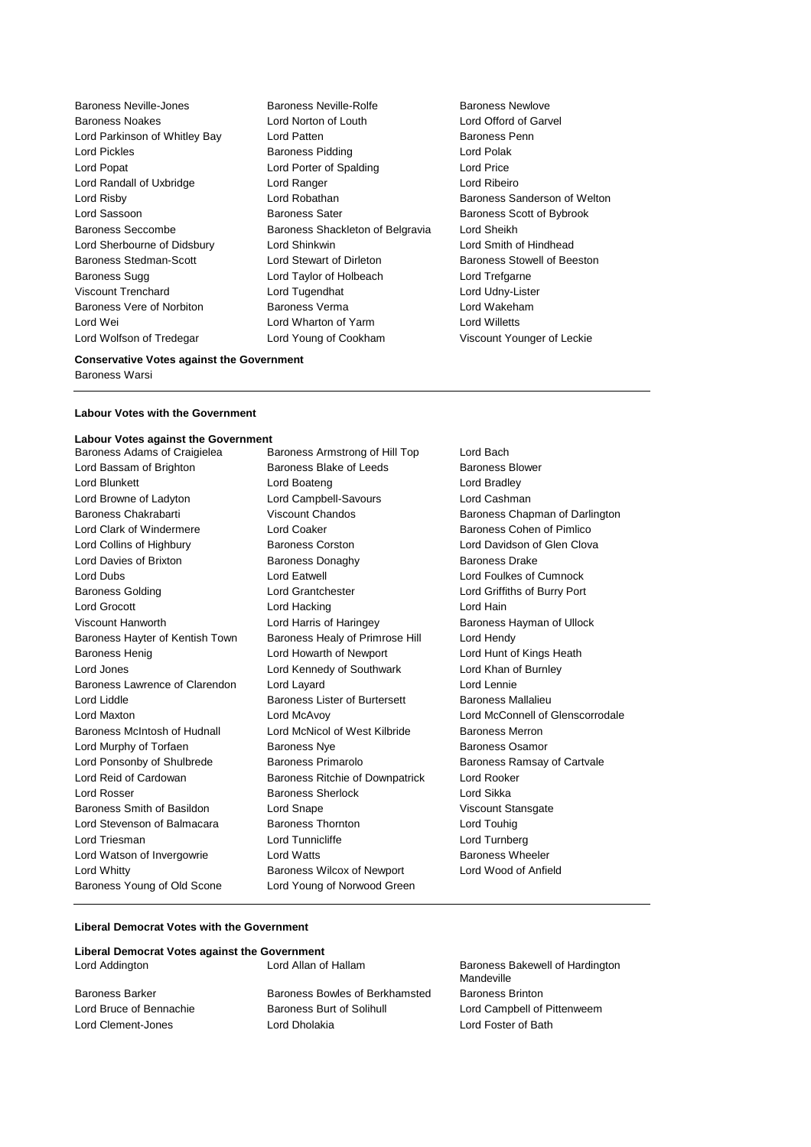Baroness Vere of Norbiton Lord Wolfson of Tredegar Lord Young of Cookham Viscount Younger of Leckie

Baroness Neville-Jones Baroness Neville-Rolfe Baroness Newlove Baroness Noakes Lord Norton of Louth Lord Offord of Garvel Lord Parkinson of Whitley Bay Lord Patten **Baroness Penn** Lord Pickles **Baroness Pidding Lord Polak** Lord Polak Lord Popat **Lord Porter of Spalding Lord Price** Lord Randall of Uxbridge Lord Ranger Lord Ribeiro Lord Risby **Lord Robathan** Baroness Sanderson of Welton **Baroness** Sanderson of Welton Lord Sassoon **Baroness Sater** Baroness Scott of Bybrook Baroness Seccombe **Baroness Shackleton of Belgravia** Lord Sheikh Lord Sherbourne of Didsbury Lord Shinkwin Lord Smith of Hindhead Baroness Stedman-Scott **Lord Stewart of Dirleton** Baroness Stowell of Beeston Baroness Sugg Lord Taylor of Holbeach Lord Trefgarne Viscount Trenchard **Communist Communist Lord Tugendhat** Communist Lord Udny-Lister<br>
Baroness Vere of Norbiton **Communist Communist Communist Communist Communist Communist Communist Communist Comm** Lord Wei Lord Wharton of Yarm Lord Willetts

### **Conservative Votes against the Government**

Baroness Warsi

#### **Labour Votes with the Government**

## **Labour Votes against the Government**

Lord Bassam of Brighton Baroness Blake of Leeds Baroness Blower Lord Blunkett **Lord Boateng** Lord Boateng Lord Bradley Lord Browne of Ladyton Lord Campbell-Savours Lord Cashman Baroness Chakrabarti Viscount Chandos Baroness Chapman of Darlington Lord Clark of Windermere **Lord Coaker Lord Coaker Baroness Cohen of Pimlico** Lord Collins of Highbury **Baroness Corston** Corston Lord Davidson of Glen Clova Lord Davies of Brixton **Baroness Donaghy** Baroness Danaghy Baroness Drake Lord Dubs Lord Eatwell Lord Foulkes of Cumnock Baroness Golding Lord Grantchester Lord Griffiths of Burry Port Lord Grocott **Lord Hacking Lord Hain** Viscount Hanworth Lord Harris of Haringey Baroness Hayman of Ullock Baroness Hayter of Kentish Town Baroness Healy of Primrose Hill Lord Hendy Baroness Henig **Lord Howarth of Newport** Lord Hunt of Kings Heath Lord Jones Lord Kennedy of Southwark Lord Khan of Burnley Baroness Lawrence of Clarendon Lord Layard Lord Lennie Lord Liddle **Baroness Lister of Burtersett** Baroness Mallalieu Lord Maxton Lord McAvoy Lord McConnell of Glenscorrodale Baroness McIntosh of Hudnall Lord McNicol of West Kilbride Baroness Merron Lord Murphy of Torfaen **Baroness Nye** Baroness Osamor Lord Ponsonby of Shulbrede Baroness Primarolo Baroness Ramsay of Cartvale Lord Reid of Cardowan Baroness Ritchie of Downpatrick Lord Rooker **Lord Rosser Baroness Sherlock** Lord Sikka Baroness Smith of Basildon Lord Snape Communication Viscount Stansgate Lord Stevenson of Balmacara Baroness Thornton Lord Touhig Lord Triesman Lord Tunnicliffe Lord Turnberg Lord Watson of Invergowrie **Lord Watts Conserverse Example 2** Extreme Baroness Wheeler Lord Whitty Baroness Wilcox of Newport Lord Wood of Anfield Baroness Young of Old Scone Lord Young of Norwood Green

Baroness Armstrong of Hill Top Lord Bach

### **Liberal Democrat Votes with the Government**

| Liberal Democrat Votes against the Government |                                |                                               |
|-----------------------------------------------|--------------------------------|-----------------------------------------------|
| Lord Addington                                | Lord Allan of Hallam           | Baroness Bakewell of Hardington<br>Mandeville |
| Baroness Barker                               | Baroness Bowles of Berkhamsted | <b>Baroness Brinton</b>                       |
| Lord Bruce of Bennachie                       | Baroness Burt of Solihull      | Lord Campbell of Pittenweem                   |
| Lord Clement-Jones                            | Lord Dholakia                  | Lord Foster of Bath                           |